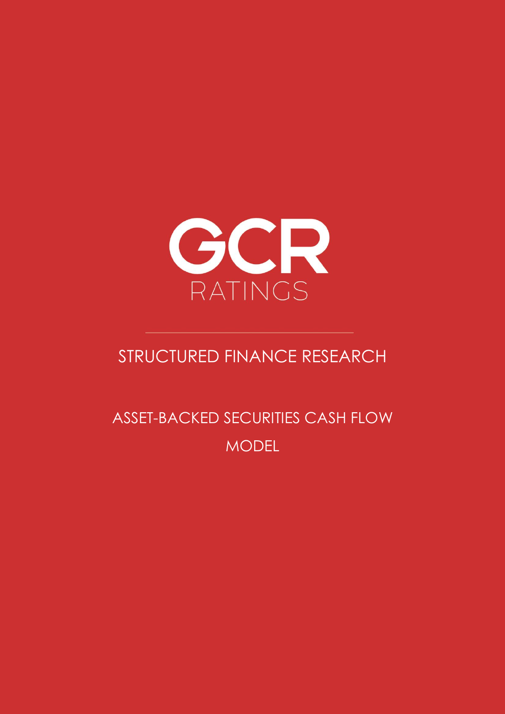

# STRUCTURED FINANCE RESEARCH

ASSET-BACKED SECURITIES CASH FLOW MODEL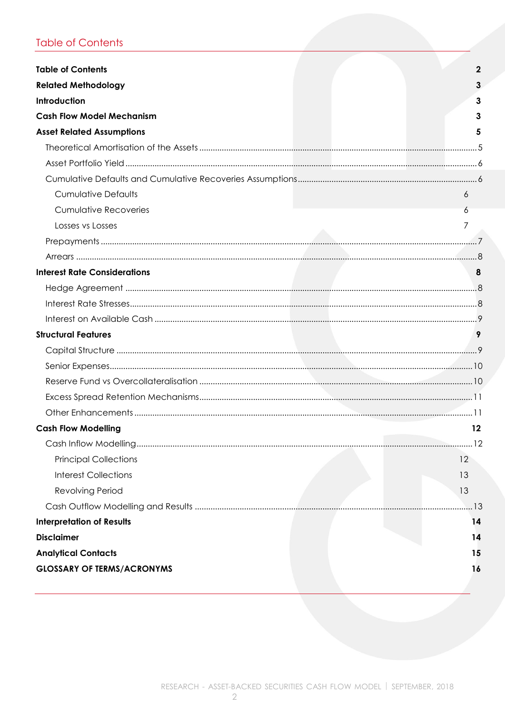# <span id="page-1-0"></span>**Table of Contents**

| <b>Table of Contents</b>            | 2   |
|-------------------------------------|-----|
|                                     |     |
| <b>Related Methodology</b>          |     |
| Introduction                        | 3   |
| <b>Cash Flow Model Mechanism</b>    |     |
| <b>Asset Related Assumptions</b>    |     |
|                                     |     |
|                                     |     |
|                                     |     |
| <b>Cumulative Defaults</b>          | 6   |
| <b>Cumulative Recoveries</b>        |     |
| Losses vs Losses                    |     |
|                                     |     |
|                                     |     |
| <b>Interest Rate Considerations</b> |     |
|                                     |     |
|                                     |     |
|                                     |     |
| <b>Structural Features</b>          | 9   |
|                                     |     |
|                                     |     |
|                                     |     |
|                                     |     |
|                                     |     |
| <b>Cash Flow Modelling</b>          | 12  |
|                                     |     |
| <b>Principal Collections</b>        | 12  |
| <b>Interest Collections</b>         | 13  |
| <b>Revolving Period</b>             | 13  |
|                                     | .13 |
| <b>Interpretation of Results</b>    | 14  |
| <b>Disclaimer</b>                   | 14  |
| <b>Analytical Contacts</b>          | 15  |
| <b>GLOSSARY OF TERMS/ACRONYMS</b>   | 16  |
|                                     |     |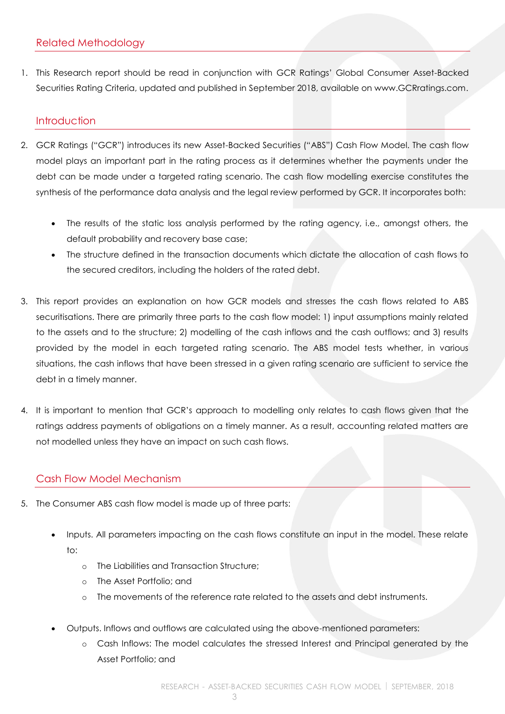<span id="page-2-0"></span>1. This Research report should be read in conjunction with GCR Ratings' Global Consumer Asset-Backed Securities Rating Criteria, updated and published in September 2018, available on www.GCRratings.com.

# <span id="page-2-1"></span>**Introduction**

- 2. GCR Ratings ("GCR") introduces its new Asset-Backed Securities ("ABS") Cash Flow Model. The cash flow model plays an important part in the rating process as it determines whether the payments under the debt can be made under a targeted rating scenario. The cash flow modelling exercise constitutes the synthesis of the performance data analysis and the legal review performed by GCR. It incorporates both:
	- The results of the static loss analysis performed by the rating agency, i.e., amongst others, the default probability and recovery base case;
	- The structure defined in the transaction documents which dictate the allocation of cash flows to the secured creditors, including the holders of the rated debt.
- 3. This report provides an explanation on how GCR models and stresses the cash flows related to ABS securitisations. There are primarily three parts to the cash flow model: 1) input assumptions mainly related to the assets and to the structure; 2) modelling of the cash inflows and the cash outflows; and 3) results provided by the model in each targeted rating scenario. The ABS model tests whether, in various situations, the cash inflows that have been stressed in a given rating scenario are sufficient to service the debt in a timely manner.
- 4. It is important to mention that GCR's approach to modelling only relates to cash flows given that the ratings address payments of obligations on a timely manner. As a result, accounting related matters are not modelled unless they have an impact on such cash flows.

# <span id="page-2-2"></span>Cash Flow Model Mechanism

- 5. The Consumer ABS cash flow model is made up of three parts:
	- Inputs. All parameters impacting on the cash flows constitute an input in the model. These relate to:
		- o The Liabilities and Transaction Structure;
		- o The Asset Portfolio; and
		- o The movements of the reference rate related to the assets and debt instruments.
	- Outputs. Inflows and outflows are calculated using the above-mentioned parameters:
		- o Cash Inflows: The model calculates the stressed Interest and Principal generated by the Asset Portfolio; and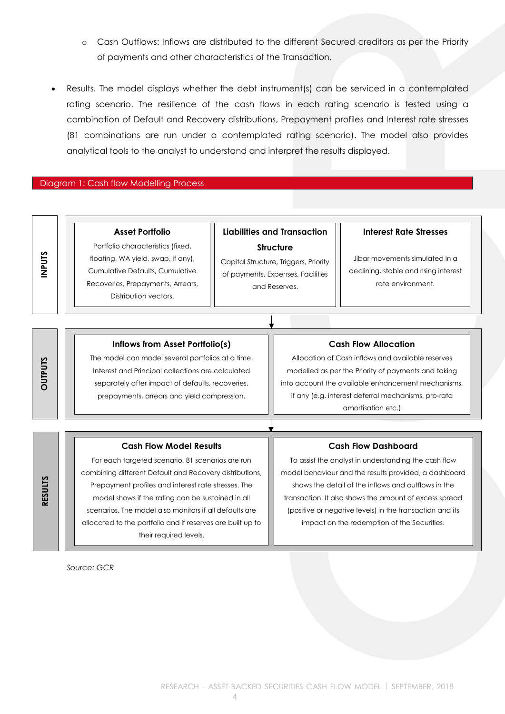- o Cash Outflows: Inflows are distributed to the different Secured creditors as per the Priority of payments and other characteristics of the Transaction.
- Results. The model displays whether the debt instrument(s) can be serviced in a contemplated rating scenario. The resilience of the cash flows in each rating scenario is tested using a combination of Default and Recovery distributions, Prepayment profiles and Interest rate stresses (81 combinations are run under a contemplated rating scenario). The model also provides analytical tools to the analyst to understand and interpret the results displayed.

#### Diagram 1: Cash flow Modelling Process

| ÷ | ۶. |
|---|----|
|   |    |
|   |    |
|   |    |
|   |    |

Portfolio characteristics (fixed, floating, WA yield, swap, if any), Cumulative Defaults, Cumulative Recoveries, Prepayments, Arrears, Distribution vectors.

**Asset Portfolio**

# **Liabilities and Transaction Structure**

Capital Structure, Triggers, Priority of payments, Expenses, Facilities and Reserves.

#### **Interest Rate Stresses**

Jibar movements simulated in a declining, stable and rising interest rate environment.

| <u>م</u> |  |
|----------|--|
|          |  |
|          |  |
| r        |  |
| F        |  |
|          |  |
|          |  |
| O        |  |
|          |  |
|          |  |

**RESULTS**

#### **Inflows from Asset Portfolio(s)**

The model can model several portfolios at a time. Interest and Principal collections are calculated separately after impact of defaults, recoveries, prepayments, arrears and yield compression.

#### **Cash Flow Allocation**

Allocation of Cash inflows and available reserves modelled as per the Priority of payments and taking into account the available enhancement mechanisms, if any (e.g. interest deferral mechanisms, pro-rata amortisation etc.)

#### **Cash Flow Model Results**

For each targeted scenario, 81 scenarios are run combining different Default and Recovery distributions, Prepayment profiles and interest rate stresses. The model shows if the rating can be sustained in all scenarios. The model also monitors if all defaults are allocated to the portfolio and if reserves are built up to their required levels.

#### **Cash Flow Dashboard**

To assist the analyst in understanding the cash flow model behaviour and the results provided, a dashboard shows the detail of the inflows and outflows in the transaction. It also shows the amount of excess spread (positive or negative levels) in the transaction and its impact on the redemption of the Securities.

*Source: GCR*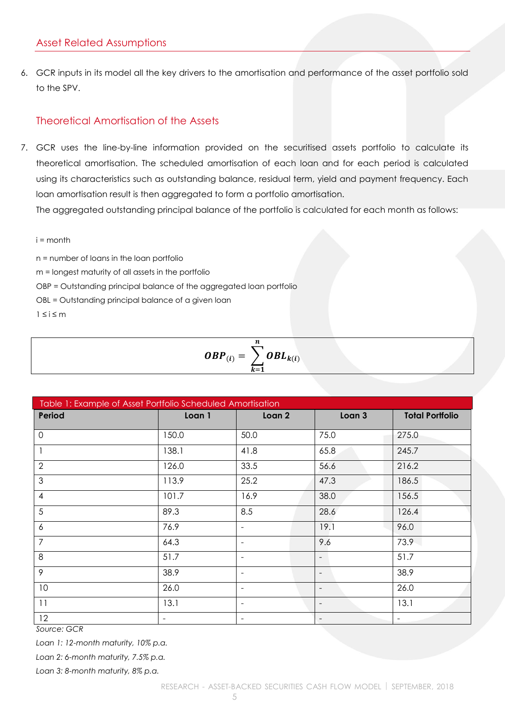<span id="page-4-0"></span>6. GCR inputs in its model all the key drivers to the amortisation and performance of the asset portfolio sold to the SPV.

# <span id="page-4-1"></span>Theoretical Amortisation of the Assets

7. GCR uses the line-by-line information provided on the securitised assets portfolio to calculate its theoretical amortisation. The scheduled amortisation of each loan and for each period is calculated using its characteristics such as outstanding balance, residual term, yield and payment frequency. Each loan amortisation result is then aggregated to form a portfolio amortisation. The aggregated outstanding principal balance of the portfolio is calculated for each month as follows:

 $i =$  month

n = number of loans in the loan portfolio

m = longest maturity of all assets in the portfolio

OBP = Outstanding principal balance of the aggregated loan portfolio

OBL = Outstanding principal balance of a given loan

 $1 \leq i \leq m$ 

| п<br>$OBP_{(i)} = \bigg\} OBL_{k(i)}$<br>$k=1$ |  |
|------------------------------------------------|--|
|                                                |  |

| Table 1: Example of Asset Portfolio Scheduled Amortisation |                          |                          |        |                          |
|------------------------------------------------------------|--------------------------|--------------------------|--------|--------------------------|
| Period                                                     | Loan 1                   | Loan 2                   | Loan 3 | <b>Total Portfolio</b>   |
| $\mathbf 0$                                                | 150.0                    | 50.0                     | 75.0   | 275.0                    |
|                                                            | 138.1                    | 41.8                     | 65.8   | 245.7                    |
| 2                                                          | 126.0                    | 33.5                     | 56.6   | 216.2                    |
| 3                                                          | 113.9                    | 25.2                     | 47.3   | 186.5                    |
| $\overline{4}$                                             | 101.7                    | 16.9                     | 38.0   | 156.5                    |
| 5                                                          | 89.3                     | 8.5                      | 28.6   | 126.4                    |
| 6                                                          | 76.9                     |                          | 19.1   | 96.0                     |
| $\overline{7}$                                             | 64.3                     | $\overline{\phantom{0}}$ | 9.6    | 73.9                     |
| 8                                                          | 51.7                     | $\overline{\phantom{0}}$ |        | 51.7                     |
| 9                                                          | 38.9                     | $\overline{\phantom{0}}$ |        | 38.9                     |
| 10                                                         | 26.0                     |                          |        | 26.0                     |
| 11                                                         | 13.1                     | $\overline{\phantom{a}}$ |        | 13.1                     |
| 12                                                         | $\overline{\phantom{0}}$ |                          |        | $\overline{\phantom{a}}$ |

*Source: GCR*

*Loan 1: 12-month maturity, 10% p.a.*

*Loan 2: 6-month maturity, 7.5% p.a.*

*Loan 3: 8-month maturity, 8% p.a.*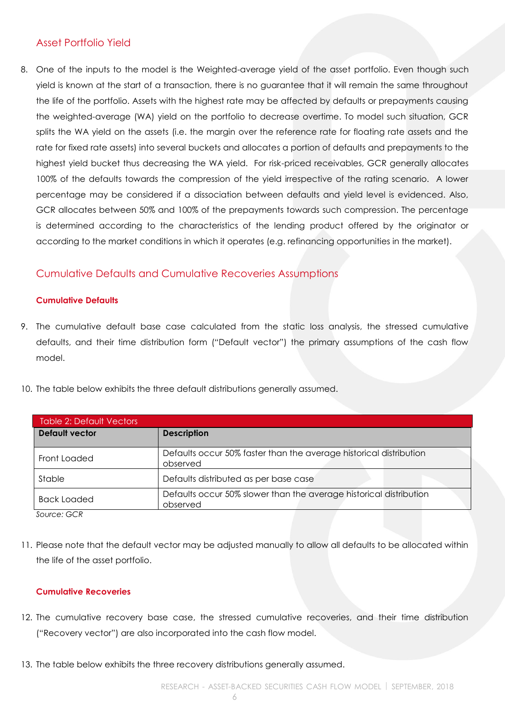# <span id="page-5-0"></span>Asset Portfolio Yield

8. One of the inputs to the model is the Weighted-average yield of the asset portfolio. Even though such yield is known at the start of a transaction, there is no guarantee that it will remain the same throughout the life of the portfolio. Assets with the highest rate may be affected by defaults or prepayments causing the weighted-average (WA) yield on the portfolio to decrease overtime. To model such situation, GCR splits the WA yield on the assets (i.e. the margin over the reference rate for floating rate assets and the rate for fixed rate assets) into several buckets and allocates a portion of defaults and prepayments to the highest yield bucket thus decreasing the WA yield. For risk-priced receivables, GCR generally allocates 100% of the defaults towards the compression of the yield irrespective of the rating scenario. A lower percentage may be considered if a dissociation between defaults and yield level is evidenced. Also, GCR allocates between 50% and 100% of the prepayments towards such compression. The percentage is determined according to the characteristics of the lending product offered by the originator or according to the market conditions in which it operates (e.g. refinancing opportunities in the market).

# <span id="page-5-1"></span>Cumulative Defaults and Cumulative Recoveries Assumptions

#### <span id="page-5-2"></span>**Cumulative Defaults**

- 9. The cumulative default base case calculated from the static loss analysis, the stressed cumulative defaults, and their time distribution form ("Default vector") the primary assumptions of the cash flow model.
- 10. The table below exhibits the three default distributions generally assumed.

| <b>Table 2: Default Vectors</b> |                                                                                |
|---------------------------------|--------------------------------------------------------------------------------|
| <b>Default vector</b>           | <b>Description</b>                                                             |
| Front Loaded                    | Defaults occur 50% faster than the average historical distribution<br>observed |
| Stable                          | Defaults distributed as per base case                                          |
| <b>Back Loaded</b>              | Defaults occur 50% slower than the average historical distribution<br>observed |
|                                 |                                                                                |

*Source: GCR*

11. Please note that the default vector may be adjusted manually to allow all defaults to be allocated within the life of the asset portfolio.

#### <span id="page-5-3"></span>**Cumulative Recoveries**

- 12. The cumulative recovery base case, the stressed cumulative recoveries, and their time distribution ("Recovery vector") are also incorporated into the cash flow model.
- 13. The table below exhibits the three recovery distributions generally assumed.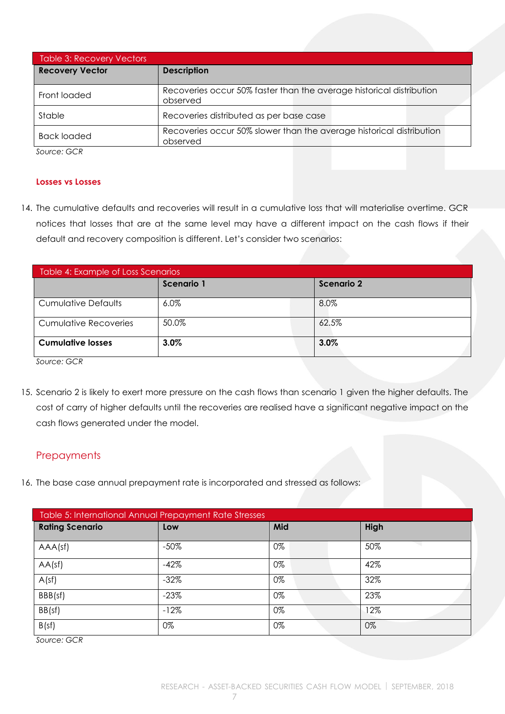| <b>Table 3: Recovery Vectors</b> |                                                                                  |
|----------------------------------|----------------------------------------------------------------------------------|
| <b>Recovery Vector</b>           | <b>Description</b>                                                               |
| Front loaded                     | Recoveries occur 50% faster than the average historical distribution<br>observed |
| Stable                           | Recoveries distributed as per base case                                          |
| <b>Back loaded</b>               | Recoveries occur 50% slower than the average historical distribution<br>observed |

*Source: GCR*

#### <span id="page-6-0"></span>**Losses vs Losses**

14. The cumulative defaults and recoveries will result in a cumulative loss that will materialise overtime. GCR notices that losses that are at the same level may have a different impact on the cash flows if their default and recovery composition is different. Let's consider two scenarios:

| Table 4: Example of Loss Scenarios |            |            |  |
|------------------------------------|------------|------------|--|
|                                    | Scenario 1 | Scenario 2 |  |
| <b>Cumulative Defaults</b>         | $6.0\%$    | 8.0%       |  |
| <b>Cumulative Recoveries</b>       | 50.0%      | 62.5%      |  |
| <b>Cumulative losses</b>           | 3.0%       | 3.0%       |  |

*Source: GCR*

15. Scenario 2 is likely to exert more pressure on the cash flows than scenario 1 given the higher defaults. The cost of carry of higher defaults until the recoveries are realised have a significant negative impact on the cash flows generated under the model.

# <span id="page-6-1"></span>**Prepayments**

16. The base case annual prepayment rate is incorporated and stressed as follows:

| Table 5: International Annual Prepayment Rate Stresses |         |     |      |
|--------------------------------------------------------|---------|-----|------|
| <b>Rating Scenario</b>                                 | Low     | Mid | High |
| AAA(sf)                                                | $-50\%$ | 0%  | 50%  |
| AA(sf)                                                 | $-42%$  | 0%  | 42%  |
| A(sf)                                                  | $-32%$  | 0%  | 32%  |
| BBB(sf)                                                | $-23%$  | 0%  | 23%  |
| BB(sf)                                                 | $-12%$  | 0%  | 12%  |
| B(sf)                                                  | 0%      | 0%  | 0%   |

*Source: GCR*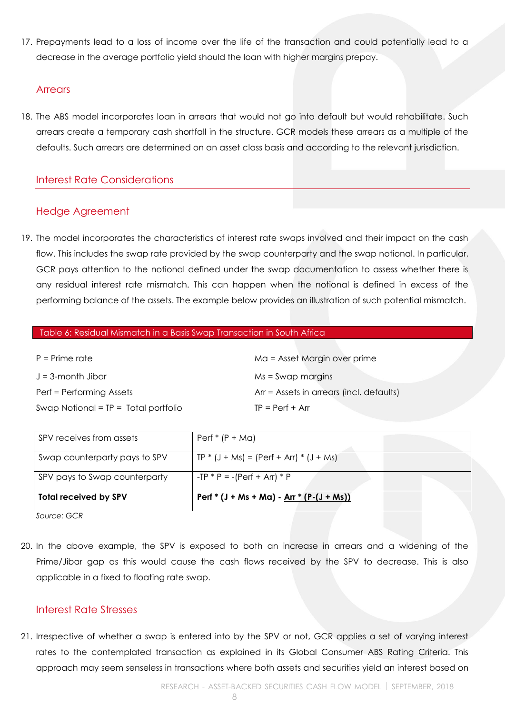17. Prepayments lead to a loss of income over the life of the transaction and could potentially lead to a decrease in the average portfolio yield should the loan with higher margins prepay.

#### <span id="page-7-0"></span>**Arrears**

18. The ABS model incorporates loan in arrears that would not go into default but would rehabilitate. Such arrears create a temporary cash shortfall in the structure. GCR models these arrears as a multiple of the defaults. Such arrears are determined on an asset class basis and according to the relevant jurisdiction.

# <span id="page-7-1"></span>Interest Rate Considerations

# <span id="page-7-2"></span>Hedge Agreement

19. The model incorporates the characteristics of interest rate swaps involved and their impact on the cash flow. This includes the swap rate provided by the swap counterparty and the swap notional. In particular, GCR pays attention to the notional defined under the swap documentation to assess whether there is any residual interest rate mismatch. This can happen when the notional is defined in excess of the performing balance of the assets. The example below provides an illustration of such potential mismatch.

| $P = Prime rate$                       | Ma = Asset Margin over prime             |
|----------------------------------------|------------------------------------------|
| $J = 3$ -month Jibar                   | $Ms = Swap$ margins                      |
| Perf = Performing Assets               | Arr = Assets in arrears (incl. defaults) |
| Swap Notional = $TP = Total$ portfolio | $TP = Perf + Arr$                        |

| SPV receives from assets      | $Perf * (P + Ma)$                                |
|-------------------------------|--------------------------------------------------|
| Swap counterparty pays to SPV | $TP * (J + Ms) = (Perf + Arr) * (J + Ms)$        |
| SPV pays to Swap counterparty | $-TP * P = -(Perf + Arr) * P$                    |
| <b>Total received by SPV</b>  | Perf * (J + Ms + Ma) - <u>Arr * (P-(J + Ms))</u> |

*Source: GCR*

20. In the above example, the SPV is exposed to both an increase in arrears and a widening of the Prime/Jibar gap as this would cause the cash flows received by the SPV to decrease. This is also applicable in a fixed to floating rate swap.

# <span id="page-7-3"></span>Interest Rate Stresses

21. Irrespective of whether a swap is entered into by the SPV or not, GCR applies a set of varying interest rates to the contemplated transaction as explained in its Global Consumer ABS Rating Criteria. This approach may seem senseless in transactions where both assets and securities yield an interest based on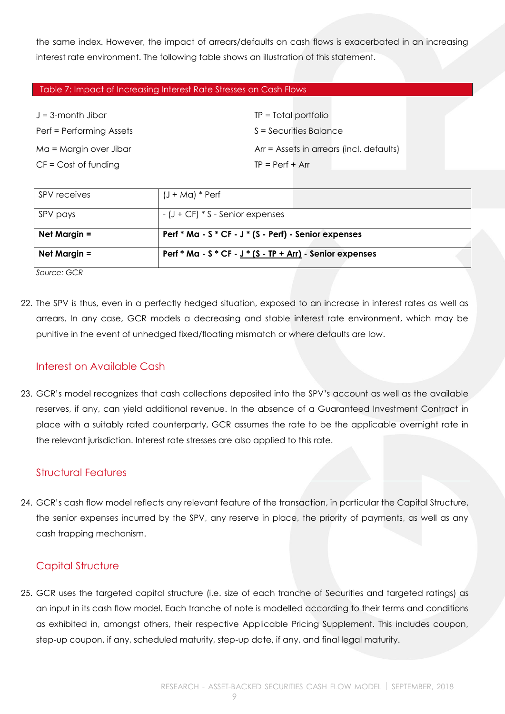the same index. However, the impact of arrears/defaults on cash flows is exacerbated in an increasing interest rate environment. The following table shows an illustration of this statement.

#### Table 7: Impact of Increasing Interest Rate Stresses on Cash Flows

| $J = 3$ -month Jibar     | $TP = Total$ portfolio                   |
|--------------------------|------------------------------------------|
| Perf = Performing Assets | S = Securities Balance                   |
| Ma = Margin over Jibar   | Arr = Assets in arrears (incl. defaults) |
| $CF = Cost of funding$   | $TP = Perf + Arr$                        |

| SPV receives   | $(J + Ma)*$ Perf                                          |  |
|----------------|-----------------------------------------------------------|--|
| SPV pays       | $-$ (J + CF) $*$ S - Senior expenses                      |  |
| Net Margin $=$ | Perf * Ma - S * CF - J * (S - Perf) - Senior expenses     |  |
| Net Margin $=$ | Perf * Ma - S * CF - $J*(S - TP + Arr)$ - Senior expenses |  |

*Source: GCR*

22. The SPV is thus, even in a perfectly hedged situation, exposed to an increase in interest rates as well as arrears. In any case, GCR models a decreasing and stable interest rate environment, which may be punitive in the event of unhedged fixed/floating mismatch or where defaults are low.

# <span id="page-8-0"></span>Interest on Available Cash

23. GCR's model recognizes that cash collections deposited into the SPV's account as well as the available reserves, if any, can yield additional revenue. In the absence of a Guaranteed Investment Contract in place with a suitably rated counterparty, GCR assumes the rate to be the applicable overnight rate in the relevant jurisdiction. Interest rate stresses are also applied to this rate.

#### <span id="page-8-1"></span>Structural Features

24. GCR's cash flow model reflects any relevant feature of the transaction, in particular the Capital Structure, the senior expenses incurred by the SPV, any reserve in place, the priority of payments, as well as any cash trapping mechanism.

# <span id="page-8-2"></span>Capital Structure

25. GCR uses the targeted capital structure (i.e. size of each tranche of Securities and targeted ratings) as an input in its cash flow model. Each tranche of note is modelled according to their terms and conditions as exhibited in, amongst others, their respective Applicable Pricing Supplement. This includes coupon, step-up coupon, if any, scheduled maturity, step-up date, if any, and final legal maturity.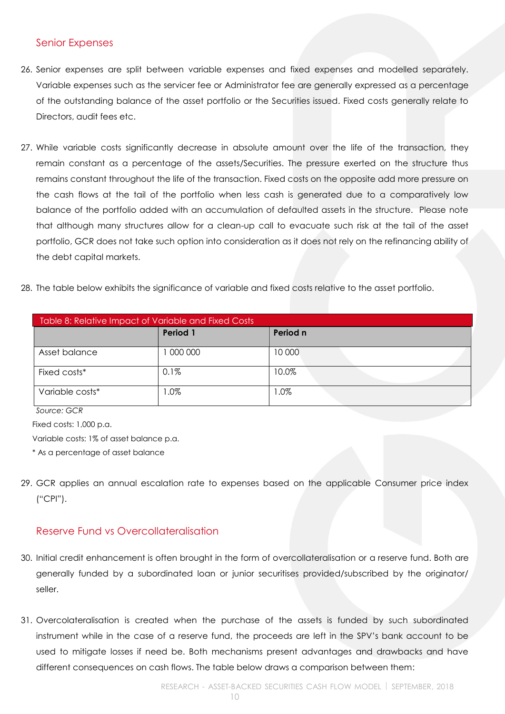#### <span id="page-9-0"></span>Senior Expenses

- 26. Senior expenses are split between variable expenses and fixed expenses and modelled separately. Variable expenses such as the servicer fee or Administrator fee are generally expressed as a percentage of the outstanding balance of the asset portfolio or the Securities issued. Fixed costs generally relate to Directors, audit fees etc.
- 27. While variable costs significantly decrease in absolute amount over the life of the transaction, they remain constant as a percentage of the assets/Securities. The pressure exerted on the structure thus remains constant throughout the life of the transaction. Fixed costs on the opposite add more pressure on the cash flows at the tail of the portfolio when less cash is generated due to a comparatively low balance of the portfolio added with an accumulation of defaulted assets in the structure. Please note that although many structures allow for a clean-up call to evacuate such risk at the tail of the asset portfolio, GCR does not take such option into consideration as it does not rely on the refinancing ability of the debt capital markets.
- 28. The table below exhibits the significance of variable and fixed costs relative to the asset portfolio.

| Table 8: Relative Impact of Variable and Fixed Costs |          |          |  |
|------------------------------------------------------|----------|----------|--|
|                                                      | Period 1 | Period n |  |
| Asset balance                                        | 1000000  | 10 000   |  |
| Fixed costs*                                         | 0.1%     | 10.0%    |  |
| Variable costs*                                      | $0\%$    | .0%      |  |

*Source: GCR*

Fixed costs: 1,000 p.a.

Variable costs: 1% of asset balance p.a.

\* As a percentage of asset balance

29. GCR applies an annual escalation rate to expenses based on the applicable Consumer price index ("CPI").

# <span id="page-9-1"></span>Reserve Fund vs Overcollateralisation

- 30. Initial credit enhancement is often brought in the form of overcollateralisation or a reserve fund. Both are generally funded by a subordinated loan or junior securitises provided/subscribed by the originator/ seller.
- 31. Overcolateralisation is created when the purchase of the assets is funded by such subordinated instrument while in the case of a reserve fund, the proceeds are left in the SPV's bank account to be used to mitigate losses if need be. Both mechanisms present advantages and drawbacks and have different consequences on cash flows. The table below draws a comparison between them: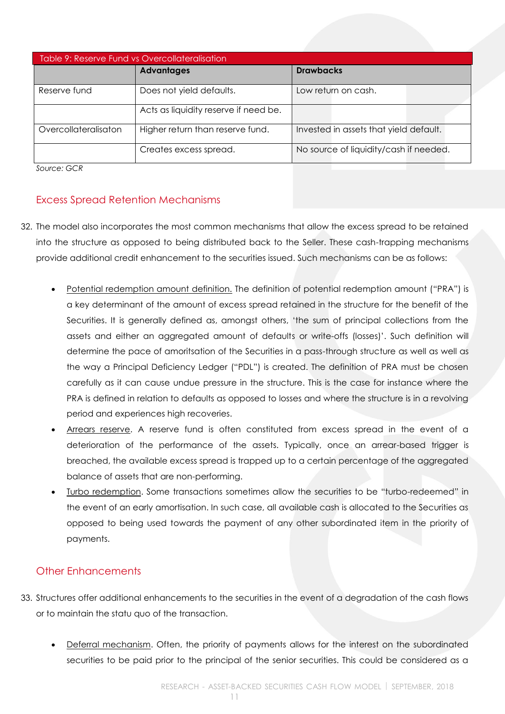| Table 9: Reserve Fund vs Overcollateralisation |                                       |                                        |  |
|------------------------------------------------|---------------------------------------|----------------------------------------|--|
|                                                | <b>Advantages</b>                     | <b>Drawbacks</b>                       |  |
| Reserve fund                                   | Does not yield defaults.              | Low return on cash.                    |  |
|                                                | Acts as liquidity reserve if need be. |                                        |  |
| Overcollateralisaton                           | Higher return than reserve fund.      | Invested in assets that yield default. |  |
|                                                | Creates excess spread.                | No source of liquidity/cash if needed. |  |

*Source: GCR*

# <span id="page-10-0"></span>Excess Spread Retention Mechanisms

- 32. The model also incorporates the most common mechanisms that allow the excess spread to be retained into the structure as opposed to being distributed back to the Seller. These cash-trapping mechanisms provide additional credit enhancement to the securities issued. Such mechanisms can be as follows:
	- Potential redemption amount definition. The definition of potential redemption amount ("PRA") is a key determinant of the amount of excess spread retained in the structure for the benefit of the Securities. It is generally defined as, amongst others, 'the sum of principal collections from the assets and either an aggregated amount of defaults or write-offs (losses)'. Such definition will determine the pace of amoritsation of the Securities in a pass-through structure as well as well as the way a Principal Deficiency Ledger ("PDL") is created. The definition of PRA must be chosen carefully as it can cause undue pressure in the structure. This is the case for instance where the PRA is defined in relation to defaults as opposed to losses and where the structure is in a revolving period and experiences high recoveries.
	- Arrears reserve. A reserve fund is often constituted from excess spread in the event of a deterioration of the performance of the assets. Typically, once an arrear-based trigger is breached, the available excess spread is trapped up to a certain percentage of the aggregated balance of assets that are non-performing.
	- Turbo redemption. Some transactions sometimes allow the securities to be "turbo-redeemed" in the event of an early amortisation. In such case, all available cash is allocated to the Securities as opposed to being used towards the payment of any other subordinated item in the priority of payments.

# <span id="page-10-1"></span>Other Enhancements

- 33. Structures offer additional enhancements to the securities in the event of a degradation of the cash flows or to maintain the statu quo of the transaction.
	- Deferral mechanism. Often, the priority of payments allows for the interest on the subordinated securities to be paid prior to the principal of the senior securities. This could be considered as a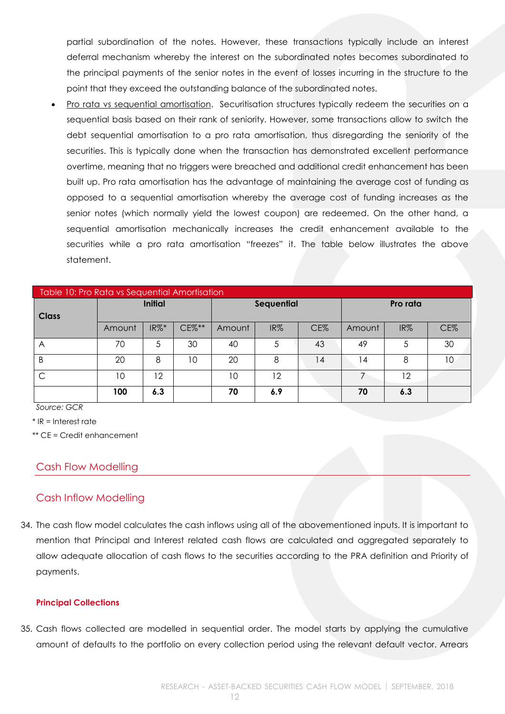partial subordination of the notes. However, these transactions typically include an interest deferral mechanism whereby the interest on the subordinated notes becomes subordinated to the principal payments of the senior notes in the event of losses incurring in the structure to the point that they exceed the outstanding balance of the subordinated notes.

 Pro rata vs sequential amortisation. Securitisation structures typically redeem the securities on a sequential basis based on their rank of seniority. However, some transactions allow to switch the debt sequential amortisation to a pro rata amortisation, thus disregarding the seniority of the securities. This is typically done when the transaction has demonstrated excellent performance overtime, meaning that no triggers were breached and additional credit enhancement has been built up. Pro rata amortisation has the advantage of maintaining the average cost of funding as opposed to a sequential amortisation whereby the average cost of funding increases as the senior notes (which normally yield the lowest coupon) are redeemed. On the other hand, a sequential amortisation mechanically increases the credit enhancement available to the securities while a pro rata amortisation "freezes" it. The table below illustrates the above statement.

| Table 10: Pro Rata vs Sequential Amortisation |                |     |           |                   |     |     |          |     |     |
|-----------------------------------------------|----------------|-----|-----------|-------------------|-----|-----|----------|-----|-----|
| <b>Class</b>                                  | <b>Initial</b> |     |           | <b>Sequential</b> |     |     | Pro rata |     |     |
|                                               | Amount         | IR% | $CE\%***$ | Amount            | IR% | CE% | Amount   | IR% | CE% |
| A                                             | 70             | 5   | 30        | 40                | 5   | 43  | 49       | 5   | 30  |
| B                                             | 20             | 8   | 10        | 20                | 8   | 14  | 14       | 8   | 10  |
| C                                             | 10             | 12  |           | 10                | 12  |     |          | 12  |     |
|                                               | 100            | 6.3 |           | 70                | 6.9 |     | 70       | 6.3 |     |

*Source: GCR*

\* IR = Interest rate

\*\* CE = Credit enhancement

#### <span id="page-11-0"></span>Cash Flow Modelling

#### <span id="page-11-1"></span>Cash Inflow Modelling

34. The cash flow model calculates the cash inflows using all of the abovementioned inputs. It is important to mention that Principal and Interest related cash flows are calculated and aggregated separately to allow adequate allocation of cash flows to the securities according to the PRA definition and Priority of payments.

#### <span id="page-11-2"></span>**Principal Collections**

35. Cash flows collected are modelled in sequential order. The model starts by applying the cumulative amount of defaults to the portfolio on every collection period using the relevant default vector. Arrears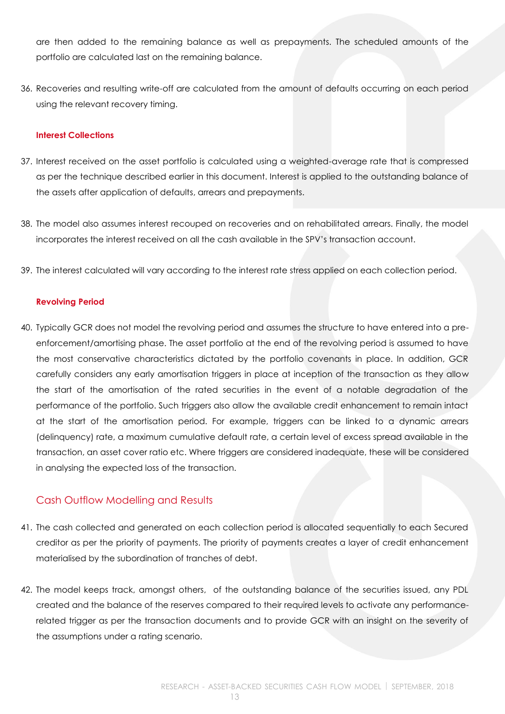are then added to the remaining balance as well as prepayments. The scheduled amounts of the portfolio are calculated last on the remaining balance.

36. Recoveries and resulting write-off are calculated from the amount of defaults occurring on each period using the relevant recovery timing.

#### <span id="page-12-0"></span>**Interest Collections**

- 37. Interest received on the asset portfolio is calculated using a weighted-average rate that is compressed as per the technique described earlier in this document. Interest is applied to the outstanding balance of the assets after application of defaults, arrears and prepayments.
- 38. The model also assumes interest recouped on recoveries and on rehabilitated arrears. Finally, the model incorporates the interest received on all the cash available in the SPV's transaction account.
- 39. The interest calculated will vary according to the interest rate stress applied on each collection period.

#### <span id="page-12-1"></span>**Revolving Period**

40. Typically GCR does not model the revolving period and assumes the structure to have entered into a preenforcement/amortising phase. The asset portfolio at the end of the revolving period is assumed to have the most conservative characteristics dictated by the portfolio covenants in place. In addition, GCR carefully considers any early amortisation triggers in place at inception of the transaction as they allow the start of the amortisation of the rated securities in the event of a notable degradation of the performance of the portfolio. Such triggers also allow the available credit enhancement to remain intact at the start of the amortisation period. For example, triggers can be linked to a dynamic arrears (delinquency) rate, a maximum cumulative default rate, a certain level of excess spread available in the transaction, an asset cover ratio etc. Where triggers are considered inadequate, these will be considered in analysing the expected loss of the transaction.

# <span id="page-12-2"></span>Cash Outflow Modelling and Results

- 41. The cash collected and generated on each collection period is allocated sequentially to each Secured creditor as per the priority of payments. The priority of payments creates a layer of credit enhancement materialised by the subordination of tranches of debt.
- 42. The model keeps track, amongst others, of the outstanding balance of the securities issued, any PDL created and the balance of the reserves compared to their required levels to activate any performancerelated trigger as per the transaction documents and to provide GCR with an insight on the severity of the assumptions under a rating scenario.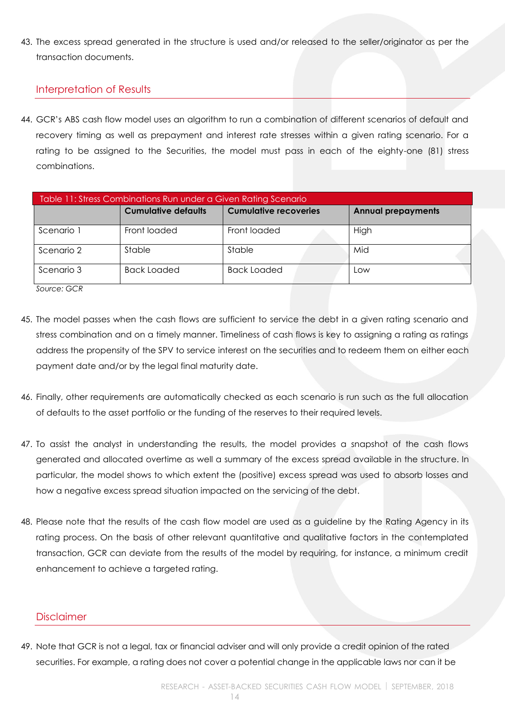43. The excess spread generated in the structure is used and/or released to the seller/originator as per the transaction documents.

# <span id="page-13-0"></span>Interpretation of Results

44. GCR's ABS cash flow model uses an algorithm to run a combination of different scenarios of default and recovery timing as well as prepayment and interest rate stresses within a given rating scenario. For a rating to be assigned to the Securities, the model must pass in each of the eighty-one (81) stress combinations.

| Table 11: Stress Combinations Run under a Given Rating Scenario |                            |                              |                           |
|-----------------------------------------------------------------|----------------------------|------------------------------|---------------------------|
|                                                                 | <b>Cumulative defaults</b> | <b>Cumulative recoveries</b> | <b>Annual prepayments</b> |
| Scenario 1                                                      | Front loaded               | Front loaded                 | High                      |
| Scenario 2                                                      | Stable                     | Stable                       | Mid                       |
| Scenario 3                                                      | <b>Back Loaded</b>         | <b>Back Loaded</b>           | Low                       |

*Source: GCR*

- 45. The model passes when the cash flows are sufficient to service the debt in a given rating scenario and stress combination and on a timely manner. Timeliness of cash flows is key to assigning a rating as ratings address the propensity of the SPV to service interest on the securities and to redeem them on either each payment date and/or by the legal final maturity date.
- 46. Finally, other requirements are automatically checked as each scenario is run such as the full allocation of defaults to the asset portfolio or the funding of the reserves to their required levels.
- 47. To assist the analyst in understanding the results, the model provides a snapshot of the cash flows generated and allocated overtime as well a summary of the excess spread available in the structure. In particular, the model shows to which extent the (positive) excess spread was used to absorb losses and how a negative excess spread situation impacted on the servicing of the debt.
- 48. Please note that the results of the cash flow model are used as a guideline by the Rating Agency in its rating process. On the basis of other relevant quantitative and qualitative factors in the contemplated transaction, GCR can deviate from the results of the model by requiring, for instance, a minimum credit enhancement to achieve a targeted rating.

#### <span id="page-13-1"></span>**Disclaimer**

49. Note that GCR is not a legal, tax or financial adviser and will only provide a credit opinion of the rated securities. For example, a rating does not cover a potential change in the applicable laws nor can it be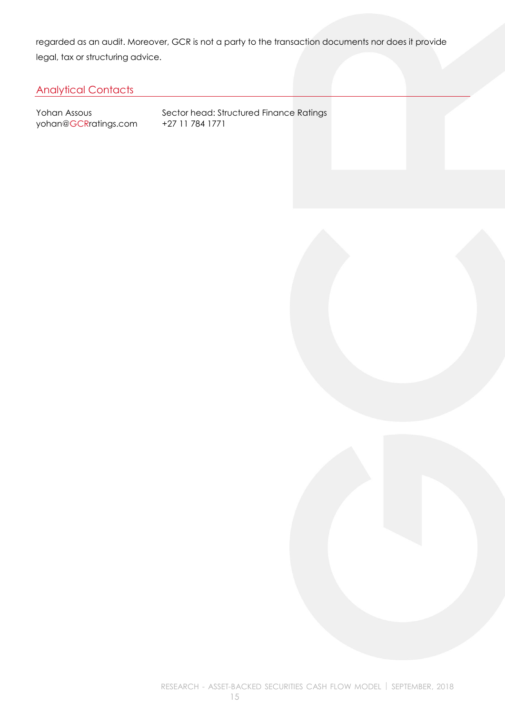regarded as an audit. Moreover, GCR is not a party to the transaction documents nor does it provide legal, tax or structuring advice.

# <span id="page-14-0"></span>Analytical Contacts

yohan@GCRratings.com +27 11 784 1771

Yohan Assous Sector head: Structured Finance Ratings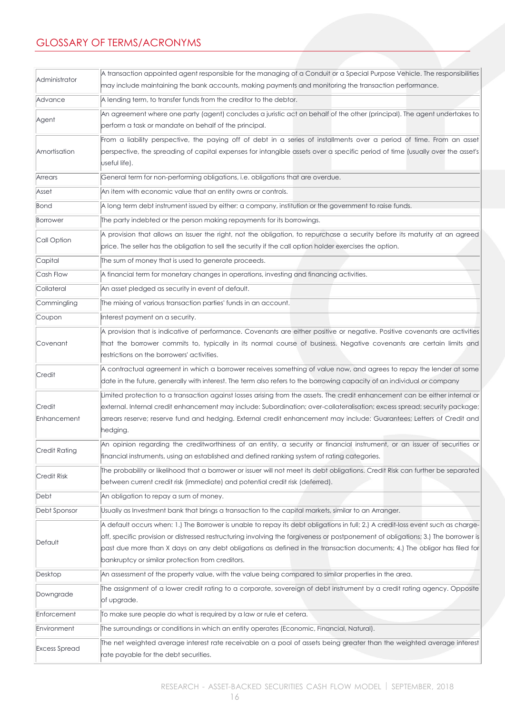# <span id="page-15-0"></span>GLOSSARY OF TERMS/ACRONYMS

| Administrator         | A transaction appointed agent responsible for the managing of a Conduit or a Special Purpose Vehicle. The responsibilities        |
|-----------------------|-----------------------------------------------------------------------------------------------------------------------------------|
|                       | may include maintaining the bank accounts, making payments and monitoring the transaction performance.                            |
| Advance               | A lending term, to transfer funds from the creditor to the debtor.                                                                |
| Agent                 | An agreement where one party (agent) concludes a juristic act on behalf of the other (principal). The agent undertakes to         |
|                       | perform a task or mandate on behalf of the principal.                                                                             |
|                       | From a liability perspective, the paying off of debt in a series of installments over a period of time. From an asset             |
| Amortisation          | perspective, the spreading of capital expenses for intangible assets over a specific period of time (usually over the asset's     |
|                       | useful life).                                                                                                                     |
| Arrears               | General term for non-performing obligations, i.e. obligations that are overdue.                                                   |
| Asset                 | An item with economic value that an entity owns or controls.                                                                      |
| Bond                  | A long term debt instrument issued by either: a company, institution or the government to raise funds.                            |
| Borrower              | The party indebted or the person making repayments for its borrowings.                                                            |
| Call Option           | A provision that allows an Issuer the right, not the obligation, to repurchase a security before its maturity at an agreed        |
|                       | price. The seller has the obligation to sell the security if the call option holder exercises the option.                         |
| Capital               | The sum of money that is used to generate proceeds.                                                                               |
| Cash Flow             | A financial term for monetary changes in operations, investing and financing activities.                                          |
| Collateral            | An asset pledged as security in event of default.                                                                                 |
| Commingling           | The mixing of various transaction parties' funds in an account.                                                                   |
| Coupon                | Interest payment on a security.                                                                                                   |
|                       | A provision that is indicative of performance. Covenants are either positive or negative. Positive covenants are activities       |
| Covenant              | that the borrower commits to, typically in its normal course of business. Negative covenants are certain limits and               |
|                       | restrictions on the borrowers' activities.                                                                                        |
| Credit                | A contractual agreement in which a borrower receives something of value now, and agrees to repay the lender at some               |
|                       | date in the future, generally with interest. The term also refers to the borrowing capacity of an individual or company           |
|                       | Limited protection to a transaction against losses arising from the assets. The credit enhancement can be either internal or      |
| Credit<br>Enhancement | external. Internal credit enhancement may include: Subordination; over-collateralisation; excess spread; security package;        |
|                       | arrears reserve; reserve fund and hedging. External credit enhancement may include: Guarantees; Letters of Credit and<br>hedging. |
|                       | An opinion regarding the creditworthiness of an entity, a security or financial instrument, or an issuer of securities or         |
| Credit Rating         | financial instruments, using an established and defined ranking system of rating categories.                                      |
|                       | The probability or likelihood that a borrower or issuer will not meet its debt obligations. Credit Risk can further be separated  |
| Credit Risk           | between current credit risk (immediate) and potential credit risk (deferred).                                                     |
| Debt                  | An obligation to repay a sum of money.                                                                                            |
| Debt Sponsor          | Usually as Investment bank that brings a transaction to the capital markets, similar to an Arranger.                              |
|                       | A default occurs when: 1.) The Borrower is unable to repay its debt obligations in full; 2.) A credit-loss event such as charge-  |
|                       | off, specific provision or distressed restructuring involving the forgiveness or postponement of obligations; 3.) The borrower is |
| Default               | past due more than X days on any debt obligations as defined in the transaction documents; 4.) The obligor has filed for          |
|                       | bankruptcy or similar protection from creditors.                                                                                  |
| Desktop               | An assessment of the property value, with the value being compared to similar properties in the area.                             |
|                       | The assignment of a lower credit rating to a corporate, sovereign of debt instrument by a credit rating agency. Opposite          |
| Downgrade             | of upgrade.                                                                                                                       |
| Enforcement           | To make sure people do what is required by a law or rule et cetera.                                                               |
| Environment           | The surroundings or conditions in which an entity operates (Economic, Financial, Natural).                                        |
|                       | The net weighted average interest rate receivable on a pool of assets being greater than the weighted average interest            |
| <b>Excess Spread</b>  | rate payable for the debt securities.                                                                                             |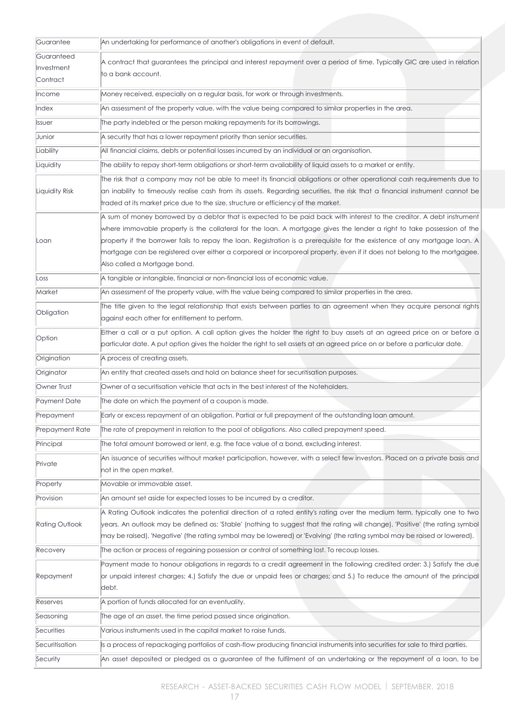| Guarantee             | An undertaking for performance of another's obligations in event of default.                                                                             |
|-----------------------|----------------------------------------------------------------------------------------------------------------------------------------------------------|
| Guaranteed            | A contract that guarantees the principal and interest repayment over a period of time. Typically GIC are used in relation                                |
| Investment            | to a bank account.                                                                                                                                       |
| Contract              |                                                                                                                                                          |
| Income                | Money received, especially on a regular basis, for work or through investments.                                                                          |
| Index                 | An assessment of the property value, with the value being compared to similar properties in the area.                                                    |
| Issuer                | The party indebted or the person making repayments for its borrowings.                                                                                   |
| Junior                | A security that has a lower repayment priority than senior securities.                                                                                   |
| Liability             | All financial claims, debts or potential losses incurred by an individual or an organisation.                                                            |
| Liquidity             | The ability to repay short-term obligations or short-term availability of liquid assets to a market or entity.                                           |
|                       | The risk that a company may not be able to meet its financial obligations or other operational cash requirements due to                                  |
| Liquidity Risk        | an inability to timeously realise cash from its assets. Regarding securities, the risk that a financial instrument cannot be                             |
|                       | traded at its market price due to the size, structure or efficiency of the market.                                                                       |
|                       | A sum of money borrowed by a debtor that is expected to be paid back with interest to the creditor. A debt instrument                                    |
|                       | where immovable property is the collateral for the loan. A mortgage gives the lender a right to take possession of the                                   |
| Loan                  | property if the borrower fails to repay the loan. Registration is a prerequisite for the existence of any mortgage loan. A                               |
|                       | mortgage can be registered over either a corporeal or incorporeal property, even if it does not belong to the mortgagee.<br>Also called a Mortgage bond. |
|                       |                                                                                                                                                          |
| Loss                  | A tangible or intangible, financial or non-financial loss of economic value.                                                                             |
| Market                | An assessment of the property value, with the value being compared to similar properties in the area.                                                    |
| Obligation            | The title given to the legal relationship that exists between parties to an agreement when they acquire personal rights                                  |
|                       | against each other for entitlement to perform.                                                                                                           |
| Option                | Either a call or a put option. A call option gives the holder the right to buy assets at an agreed price on or before a                                  |
|                       | particular date. A put option gives the holder the right to sell assets at an agreed price on or before a particular date.                               |
| Origination           | A process of creating assets.                                                                                                                            |
| Originator            | An entity that created assets and hold on balance sheet for securitisation purposes.                                                                     |
| Owner Trust           | Owner of a securitisation vehicle that acts in the best interest of the Noteholders.                                                                     |
| Payment Date          | The date on which the payment of a coupon is made.                                                                                                       |
| Prepayment            | Early or excess repayment of an obligation. Partial or full prepayment of the outstanding loan amount.                                                   |
| Prepayment Rate       | The rate of prepayment in relation to the pool of obligations. Also called prepayment speed.                                                             |
| Principal             | The total amount borrowed or lent, e.g. the face value of a bond, excluding interest.                                                                    |
| Private               | An issuance of securities without market participation, however, with a select few investors. Placed on a private basis and                              |
|                       | not in the open market.                                                                                                                                  |
| Property              | Movable or immovable asset.                                                                                                                              |
| Provision             | An amount set aside for expected losses to be incurred by a creditor.                                                                                    |
|                       | A Rating Outlook indicates the potential direction of a rated entity's rating over the medium term, typically one to two                                 |
| <b>Rating Outlook</b> | years. An outlook may be defined as: 'Stable' (nothing to suggest that the rating will change), 'Positive' (the rating symbol                            |
|                       | may be raised), 'Negative' (the rating symbol may be lowered) or 'Evolving' (the rating symbol may be raised or lowered).                                |
| Recovery              | The action or process of regaining possession or control of something lost. To recoup losses.                                                            |
|                       | Payment made to honour obligations in regards to a credit agreement in the following credited order: 3.) Satisfy the due                                 |
| Repayment             | or unpaid interest charges; 4.) Satisfy the due or unpaid fees or charges; and 5.) To reduce the amount of the principal                                 |
|                       | debt.                                                                                                                                                    |
| Reserves              | A portion of funds allocated for an eventuality.                                                                                                         |
| Seasoning             | The age of an asset, the time period passed since origination.                                                                                           |
| Securities            | Various instruments used in the capital market to raise funds.                                                                                           |
| Securitisation        | Is a process of repackaging portfolios of cash-flow producing financial instruments into securities for sale to third parties.                           |
| Security              | An asset deposited or pledged as a guarantee of the fulfilment of an undertaking or the repayment of a loan, to be                                       |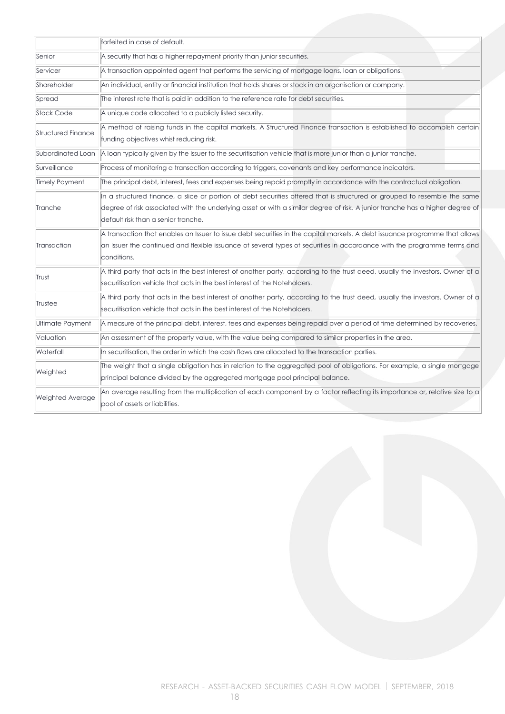|                         | forfeited in case of default.                                                                                                                                                                                                                                                                     |  |  |
|-------------------------|---------------------------------------------------------------------------------------------------------------------------------------------------------------------------------------------------------------------------------------------------------------------------------------------------|--|--|
| Senior                  | A security that has a higher repayment priority than junior securities.                                                                                                                                                                                                                           |  |  |
| Servicer                | A transaction appointed agent that performs the servicing of mortgage loans, loan or obligations.                                                                                                                                                                                                 |  |  |
| Shareholder             | An individual, entity or financial institution that holds shares or stock in an organisation or company.                                                                                                                                                                                          |  |  |
| Spread                  | The interest rate that is paid in addition to the reference rate for debt securities.                                                                                                                                                                                                             |  |  |
| <b>Stock Code</b>       | A unique code allocated to a publicly listed security.                                                                                                                                                                                                                                            |  |  |
| Structured Finance      | A method of raising funds in the capital markets. A Structured Finance transaction is established to accomplish certain<br>funding objectives whist reducing risk.                                                                                                                                |  |  |
| Subordinated Loan       | A loan typically given by the Issuer to the securitisation vehicle that is more junior than a junior tranche.                                                                                                                                                                                     |  |  |
| Surveillance            | Process of monitoring a transaction according to triggers, covenants and key performance indicators.                                                                                                                                                                                              |  |  |
| Timely Payment          | The principal debt, interest, fees and expenses being repaid promptly in accordance with the contractual obligation.                                                                                                                                                                              |  |  |
| Tranche                 | In a structured finance, a slice or portion of debt securities offered that is structured or grouped to resemble the same<br>degree of risk associated with the underlying asset or with a similar degree of risk. A junior tranche has a higher degree of<br>default risk than a senior tranche. |  |  |
| Transaction             | A transaction that enables an Issuer to issue debt securities in the capital markets. A debt issuance programme that allows<br>an Issuer the continued and flexible issuance of several types of securities in accordance with the programme terms and<br>conditions.                             |  |  |
| Trust                   | A third party that acts in the best interest of another party, according to the trust deed, usually the investors. Owner of a<br>securitisation vehicle that acts in the best interest of the Noteholders.                                                                                        |  |  |
| Trustee                 | A third party that acts in the best interest of another party, according to the trust deed, usually the investors. Owner of a<br>securitisation vehicle that acts in the best interest of the Noteholders.                                                                                        |  |  |
| Ultimate Payment        | A measure of the principal debt, interest, fees and expenses being repaid over a period of time determined by recoveries.                                                                                                                                                                         |  |  |
| Valuation               | An assessment of the property value, with the value being compared to similar properties in the area.                                                                                                                                                                                             |  |  |
| Waterfall               | In securitisation, the order in which the cash flows are allocated to the transaction parties.                                                                                                                                                                                                    |  |  |
| Weighted                | The weight that a single obligation has in relation to the aggregated pool of obligations. For example, a single mortgage<br>principal balance divided by the aggregated mortgage pool principal balance.                                                                                         |  |  |
| <b>Weighted Average</b> | An average resulting from the multiplication of each component by a factor reflecting its importance or, relative size to a<br>pool of assets or liabilities.                                                                                                                                     |  |  |